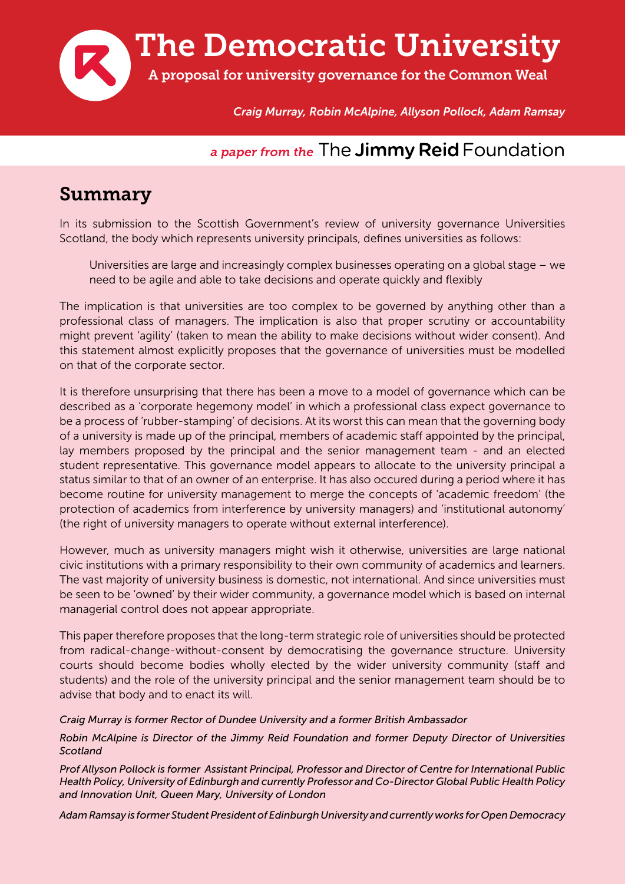

*Craig Murray, Robin McAlpine, Allyson Pollock, Adam Ramsay*

#### *a paper from the* The **Jimmy Reid** Foundation

#### Summary

In its submission to the Scottish Government's review of university governance Universities Scotland, the body which represents university principals, defines universities as follows:

Universities are large and increasingly complex businesses operating on a global stage – we need to be agile and able to take decisions and operate quickly and flexibly

The implication is that universities are too complex to be governed by anything other than a professional class of managers. The implication is also that proper scrutiny or accountability might prevent 'agility' (taken to mean the ability to make decisions without wider consent). And this statement almost explicitly proposes that the governance of universities must be modelled on that of the corporate sector.

It is therefore unsurprising that there has been a move to a model of governance which can be described as a 'corporate hegemony model' in which a professional class expect governance to be a process of 'rubber-stamping' of decisions. At its worst this can mean that the governing body of a university is made up of the principal, members of academic staff appointed by the principal, lay members proposed by the principal and the senior management team - and an elected student representative. This governance model appears to allocate to the university principal a status similar to that of an owner of an enterprise. It has also occured during a period where it has become routine for university management to merge the concepts of 'academic freedom' (the protection of academics from interference by university managers) and 'institutional autonomy' (the right of university managers to operate without external interference).

However, much as university managers might wish it otherwise, universities are large national civic institutions with a primary responsibility to their own community of academics and learners. The vast majority of university business is domestic, not international. And since universities must be seen to be 'owned' by their wider community, a governance model which is based on internal managerial control does not appear appropriate.

This paper therefore proposes that the long-term strategic role of universities should be protected from radical-change-without-consent by democratising the governance structure. University courts should become bodies wholly elected by the wider university community (staff and students) and the role of the university principal and the senior management team should be to advise that body and to enact its will.

#### *Craig Murray is former Rector of Dundee University and a former British Ambassador*

*Robin McAlpine is Director of the Jimmy Reid Foundation and former Deputy Director of Universities Scotland*

*Prof Allyson Pollock is former Assistant Principal, Professor and Director of Centre for International Public Health Policy, University of Edinburgh and currently Professor and Co-Director Global Public Health Policy and Innovation Unit, Queen Mary, University of London*

*Adam Ramsay is former Student President of Edinburgh University and currently works for Open Democracy*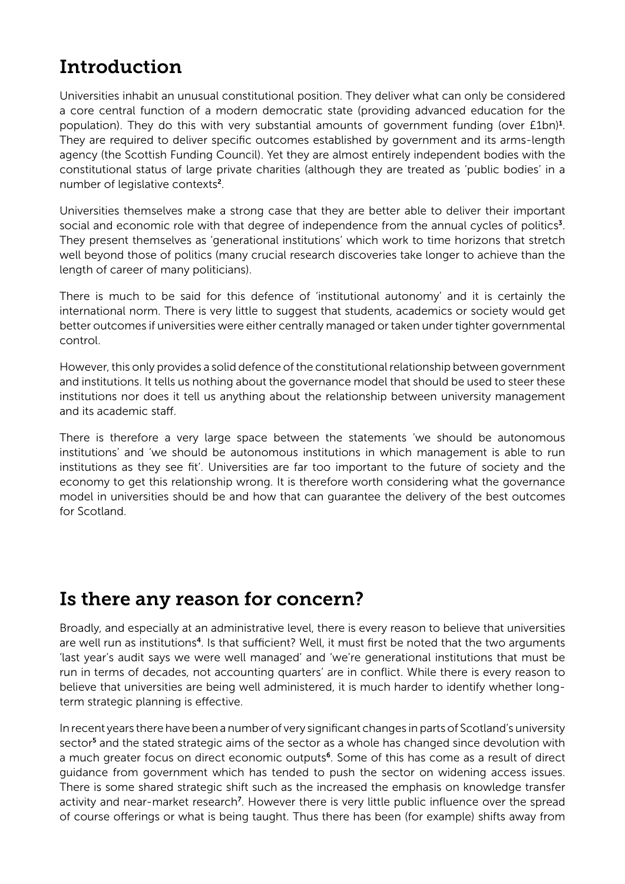## Introduction

Universities inhabit an unusual constitutional position. They deliver what can only be considered a core central function of a modern democratic state (providing advanced education for the population). They do this with very substantial amounts of government funding (over £1bn)<sup>1</sup>. They are required to deliver specific outcomes established by government and its arms-length agency (the Scottish Funding Council). Yet they are almost entirely independent bodies with the constitutional status of large private charities (although they are treated as 'public bodies' in a number of legislative contexts2.

Universities themselves make a strong case that they are better able to deliver their important social and economic role with that degree of independence from the annual cycles of politics<sup>3</sup>. They present themselves as 'generational institutions' which work to time horizons that stretch well beyond those of politics (many crucial research discoveries take longer to achieve than the length of career of many politicians).

There is much to be said for this defence of 'institutional autonomy' and it is certainly the international norm. There is very little to suggest that students, academics or society would get better outcomes if universities were either centrally managed or taken under tighter governmental control.

However, this only provides a solid defence of the constitutional relationship between government and institutions. It tells us nothing about the governance model that should be used to steer these institutions nor does it tell us anything about the relationship between university management and its academic staff.

There is therefore a very large space between the statements 'we should be autonomous institutions' and 'we should be autonomous institutions in which management is able to run institutions as they see fit'. Universities are far too important to the future of society and the economy to get this relationship wrong. It is therefore worth considering what the governance model in universities should be and how that can guarantee the delivery of the best outcomes for Scotland.

#### Is there any reason for concern?

Broadly, and especially at an administrative level, there is every reason to believe that universities are well run as institutions<sup>4</sup>. Is that sufficient? Well, it must first be noted that the two arguments 'last year's audit says we were well managed' and 'we're generational institutions that must be run in terms of decades, not accounting quarters' are in conflict. While there is every reason to believe that universities are being well administered, it is much harder to identify whether longterm strategic planning is effective.

In recent years there have been a number of very significant changes in parts of Scotland's university sector<sup>5</sup> and the stated strategic aims of the sector as a whole has changed since devolution with a much greater focus on direct economic outputs<sup>6</sup>. Some of this has come as a result of direct guidance from government which has tended to push the sector on widening access issues. There is some shared strategic shift such as the increased the emphasis on knowledge transfer activity and near-market research<sup>7</sup>. However there is very little public influence over the spread of course offerings or what is being taught. Thus there has been (for example) shifts away from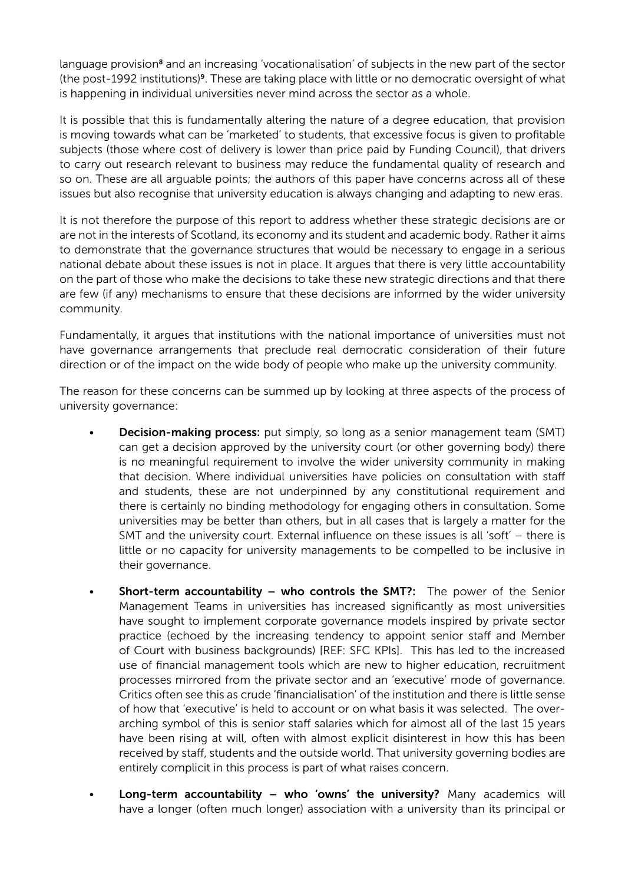language provision<sup>8</sup> and an increasing 'vocationalisation' of subjects in the new part of the sector (the post-1992 institutions)9. These are taking place with little or no democratic oversight of what is happening in individual universities never mind across the sector as a whole.

It is possible that this is fundamentally altering the nature of a degree education, that provision is moving towards what can be 'marketed' to students, that excessive focus is given to profitable subjects (those where cost of delivery is lower than price paid by Funding Council), that drivers to carry out research relevant to business may reduce the fundamental quality of research and so on. These are all arguable points; the authors of this paper have concerns across all of these issues but also recognise that university education is always changing and adapting to new eras.

It is not therefore the purpose of this report to address whether these strategic decisions are or are not in the interests of Scotland, its economy and its student and academic body. Rather it aims to demonstrate that the governance structures that would be necessary to engage in a serious national debate about these issues is not in place. It argues that there is very little accountability on the part of those who make the decisions to take these new strategic directions and that there are few (if any) mechanisms to ensure that these decisions are informed by the wider university community.

Fundamentally, it argues that institutions with the national importance of universities must not have governance arrangements that preclude real democratic consideration of their future direction or of the impact on the wide body of people who make up the university community.

The reason for these concerns can be summed up by looking at three aspects of the process of university governance:

- **Decision-making process:** put simply, so long as a senior management team (SMT) can get a decision approved by the university court (or other governing body) there is no meaningful requirement to involve the wider university community in making that decision. Where individual universities have policies on consultation with staff and students, these are not underpinned by any constitutional requirement and there is certainly no binding methodology for engaging others in consultation. Some universities may be better than others, but in all cases that is largely a matter for the SMT and the university court. External influence on these issues is all 'soft' – there is little or no capacity for university managements to be compelled to be inclusive in their governance.
- **Short-term accountability who controls the SMT?:** The power of the Senior Management Teams in universities has increased significantly as most universities have sought to implement corporate governance models inspired by private sector practice (echoed by the increasing tendency to appoint senior staff and Member of Court with business backgrounds) [REF: SFC KPIs]. This has led to the increased use of financial management tools which are new to higher education, recruitment processes mirrored from the private sector and an 'executive' mode of governance. Critics often see this as crude 'financialisation' of the institution and there is little sense of how that 'executive' is held to account or on what basis it was selected. The overarching symbol of this is senior staff salaries which for almost all of the last 15 years have been rising at will, often with almost explicit disinterest in how this has been received by staff, students and the outside world. That university governing bodies are entirely complicit in this process is part of what raises concern.
- Long-term accountability who 'owns' the university? Many academics will have a longer (often much longer) association with a university than its principal or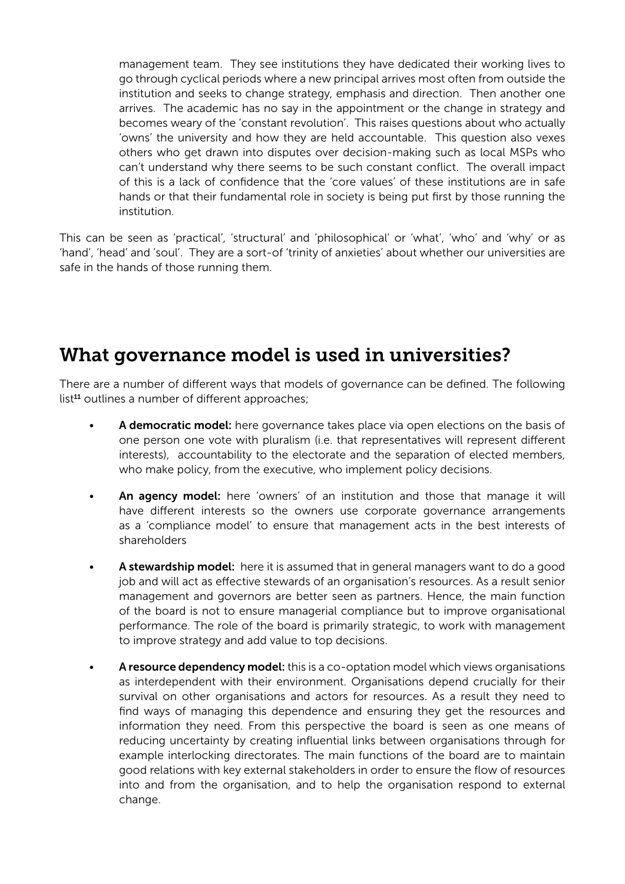management team. They see institutions they have dedicated their working lives to go through cyclical periods where a new principal arrives most often from outside the institution and seeks to change strategy, emphasis and direction. Then another one arrives. The academic has no say in the appointment or the change in strategy and becomes weary of the 'constant revolution'. This raises questions about who actually 'owns' the university and how they are held accountable. This question also vexes others who get drawn into disputes over decision-making such as local MSPs who can't understand why there seems to be such constant conflict. The overall impact of this is a lack of confidence that the 'core values' of these institutions are in safe hands or that their fundamental role in society is being put first by those running the institution.

This can be seen as 'practical', 'structural' and 'philosophical' or 'what', 'who' and 'why' or as 'hand', 'head' and 'soul'. They are a sort-of 'trinity of anxieties' about whether our universities are safe in the hands of those running them.

### What governance model is used in universities?

There are a number of different ways that models of governance can be defined. The following list<sup>11</sup> outlines a number of different approaches;

- A democratic model: here governance takes place via open elections on the basis of one person one vote with pluralism (i.e. that representatives will represent different interests), accountability to the electorate and the separation of elected members, who make policy, from the executive, who implement policy decisions.
- An agency model: here 'owners' of an institution and those that manage it will have different interests so the owners use corporate governance arrangements as a 'compliance model' to ensure that management acts in the best interests of shareholders
- A stewardship model: here it is assumed that in general managers want to do a good job and will act as effective stewards of an organisation's resources. As a result senior management and governors are better seen as partners. Hence, the main function of the board is not to ensure managerial compliance but to improve organisational performance. The role of the board is primarily strategic, to work with management to improve strategy and add value to top decisions.
- A resource dependency model: this is a co-optation model which views organisations as interdependent with their environment. Organisations depend crucially for their survival on other organisations and actors for resources. As a result they need to find ways of managing this dependence and ensuring they get the resources and information they need. From this perspective the board is seen as one means of reducing uncertainty by creating influential links between organisations through for example interlocking directorates. The main functions of the board are to maintain good relations with key external stakeholders in order to ensure the flow of resources into and from the organisation, and to help the organisation respond to external change.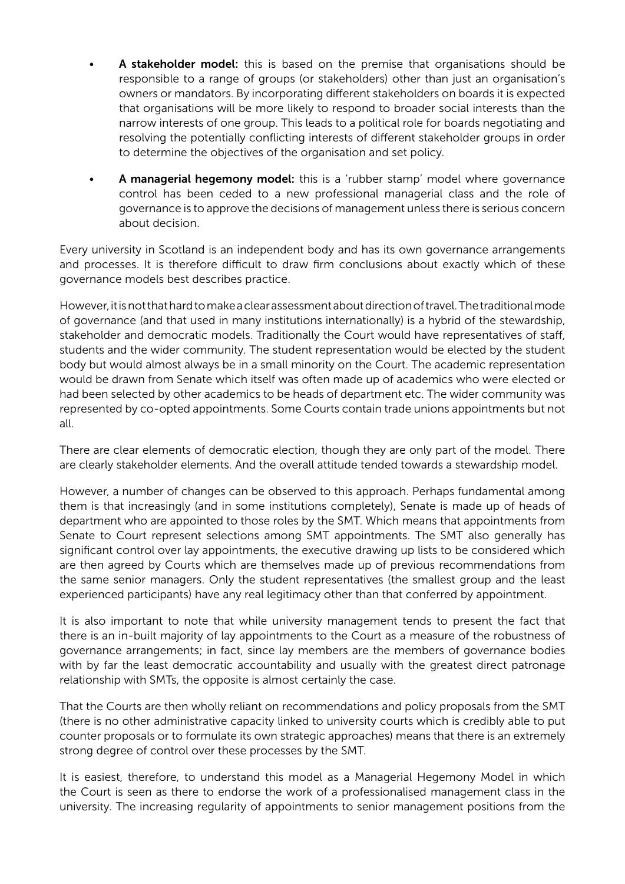- A stakeholder model: this is based on the premise that organisations should be responsible to a range of groups (or stakeholders) other than just an organisation's owners or mandators. By incorporating different stakeholders on boards it is expected that organisations will be more likely to respond to broader social interests than the narrow interests of one group. This leads to a political role for boards negotiating and resolving the potentially conflicting interests of different stakeholder groups in order to determine the objectives of the organisation and set policy.
- A managerial hegemony model: this is a 'rubber stamp' model where governance control has been ceded to a new professional managerial class and the role of governance is to approve the decisions of management unless there is serious concern about decision.

Every university in Scotland is an independent body and has its own governance arrangements and processes. It is therefore difficult to draw firm conclusions about exactly which of these governance models best describes practice.

However, it is not that hard to make a clear assessment about direction of travel. The traditional mode of governance (and that used in many institutions internationally) is a hybrid of the stewardship, stakeholder and democratic models. Traditionally the Court would have representatives of staff, students and the wider community. The student representation would be elected by the student body but would almost always be in a small minority on the Court. The academic representation would be drawn from Senate which itself was often made up of academics who were elected or had been selected by other academics to be heads of department etc. The wider community was represented by co-opted appointments. Some Courts contain trade unions appointments but not all.

There are clear elements of democratic election, though they are only part of the model. There are clearly stakeholder elements. And the overall attitude tended towards a stewardship model.

However, a number of changes can be observed to this approach. Perhaps fundamental among them is that increasingly (and in some institutions completely), Senate is made up of heads of department who are appointed to those roles by the SMT. Which means that appointments from Senate to Court represent selections among SMT appointments. The SMT also generally has significant control over lay appointments, the executive drawing up lists to be considered which are then agreed by Courts which are themselves made up of previous recommendations from the same senior managers. Only the student representatives (the smallest group and the least experienced participants) have any real legitimacy other than that conferred by appointment.

It is also important to note that while university management tends to present the fact that there is an in-built majority of lay appointments to the Court as a measure of the robustness of governance arrangements; in fact, since lay members are the members of governance bodies with by far the least democratic accountability and usually with the greatest direct patronage relationship with SMTs, the opposite is almost certainly the case.

That the Courts are then wholly reliant on recommendations and policy proposals from the SMT (there is no other administrative capacity linked to university courts which is credibly able to put counter proposals or to formulate its own strategic approaches) means that there is an extremely strong degree of control over these processes by the SMT.

It is easiest, therefore, to understand this model as a Managerial Hegemony Model in which the Court is seen as there to endorse the work of a professionalised management class in the university. The increasing regularity of appointments to senior management positions from the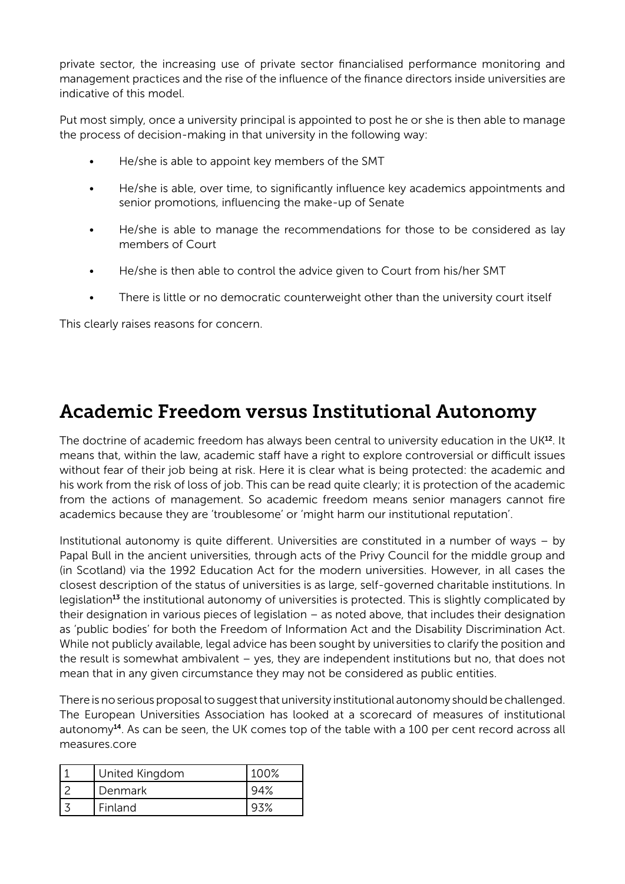private sector, the increasing use of private sector financialised performance monitoring and management practices and the rise of the influence of the finance directors inside universities are indicative of this model.

Put most simply, once a university principal is appointed to post he or she is then able to manage the process of decision-making in that university in the following way:

- He/she is able to appoint key members of the SMT
- He/she is able, over time, to significantly influence key academics appointments and senior promotions, influencing the make-up of Senate
- He/she is able to manage the recommendations for those to be considered as lay members of Court
- He/she is then able to control the advice given to Court from his/her SMT
- There is little or no democratic counterweight other than the university court itself

This clearly raises reasons for concern.

## Academic Freedom versus Institutional Autonomy

The doctrine of academic freedom has always been central to university education in the UK<sup>12</sup>. It means that, within the law, academic staff have a right to explore controversial or difficult issues without fear of their job being at risk. Here it is clear what is being protected: the academic and his work from the risk of loss of job. This can be read quite clearly; it is protection of the academic from the actions of management. So academic freedom means senior managers cannot fire academics because they are 'troublesome' or 'might harm our institutional reputation'.

Institutional autonomy is quite different. Universities are constituted in a number of ways – by Papal Bull in the ancient universities, through acts of the Privy Council for the middle group and (in Scotland) via the 1992 Education Act for the modern universities. However, in all cases the closest description of the status of universities is as large, self-governed charitable institutions. In legislation<sup>13</sup> the institutional autonomy of universities is protected. This is slightly complicated by their designation in various pieces of legislation – as noted above, that includes their designation as 'public bodies' for both the Freedom of Information Act and the Disability Discrimination Act. While not publicly available, legal advice has been sought by universities to clarify the position and the result is somewhat ambivalent – yes, they are independent institutions but no, that does not mean that in any given circumstance they may not be considered as public entities.

There is no serious proposal to suggest that university institutional autonomy should be challenged. The European Universities Association has looked at a scorecard of measures of institutional autonomy $14$ . As can be seen, the UK comes top of the table with a 100 per cent record across all measures.core

| <b>United Kingdom</b> | 100% |
|-----------------------|------|
| Denmark               |      |
| Finland               |      |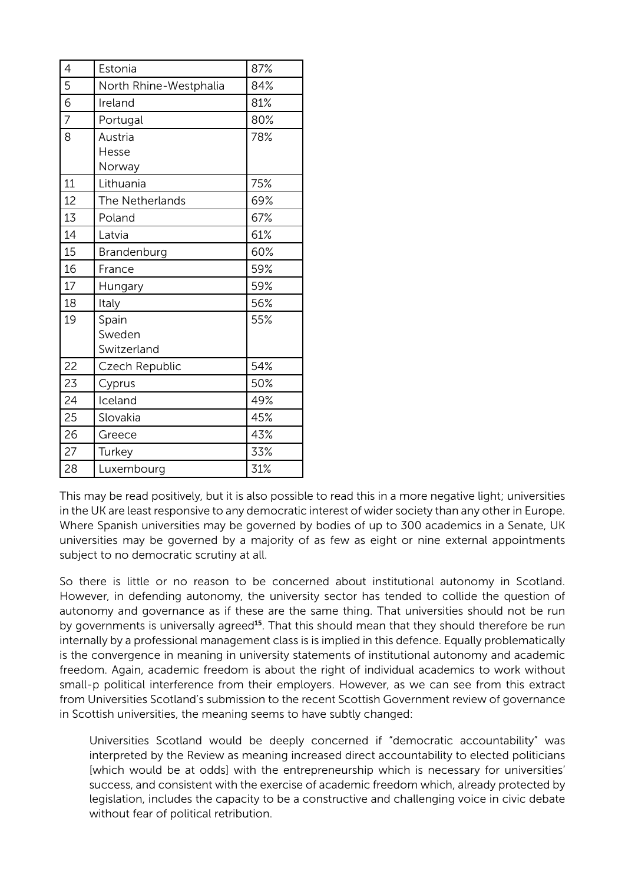| 4              | Estonia                        | 87% |
|----------------|--------------------------------|-----|
| 5              | North Rhine-Westphalia         | 84% |
| 6              | Ireland                        | 81% |
| $\overline{7}$ | Portugal                       | 80% |
| 8              | Austria<br>Hesse<br>Norway     | 78% |
| 11             | Lithuania                      | 75% |
| 12             | The Netherlands                | 69% |
| 13             | Poland                         | 67% |
| 14             | Latvia                         | 61% |
| 15             | Brandenburg                    | 60% |
| 16             | France                         | 59% |
| 17             | Hungary                        | 59% |
| 18             | Italy                          | 56% |
| 19             | Spain<br>Sweden<br>Switzerland | 55% |
| 22             | Czech Republic                 | 54% |
| 23             | Cyprus                         | 50% |
| 24             | Iceland                        | 49% |
| 25             | Slovakia                       | 45% |
| 26             | Greece                         | 43% |
| 27             | Turkey                         | 33% |
| 28             | Luxembourg                     | 31% |

This may be read positively, but it is also possible to read this in a more negative light; universities in the UK are least responsive to any democratic interest of wider society than any other in Europe. Where Spanish universities may be governed by bodies of up to 300 academics in a Senate, UK universities may be governed by a majority of as few as eight or nine external appointments subject to no democratic scrutiny at all.

So there is little or no reason to be concerned about institutional autonomy in Scotland. However, in defending autonomy, the university sector has tended to collide the question of autonomy and governance as if these are the same thing. That universities should not be run by governments is universally agreed<sup>15</sup>. That this should mean that they should therefore be run internally by a professional management class is is implied in this defence. Equally problematically is the convergence in meaning in university statements of institutional autonomy and academic freedom. Again, academic freedom is about the right of individual academics to work without small-p political interference from their employers. However, as we can see from this extract from Universities Scotland's submission to the recent Scottish Government review of governance in Scottish universities, the meaning seems to have subtly changed:

Universities Scotland would be deeply concerned if "democratic accountability" was interpreted by the Review as meaning increased direct accountability to elected politicians [which would be at odds] with the entrepreneurship which is necessary for universities' success, and consistent with the exercise of academic freedom which, already protected by legislation, includes the capacity to be a constructive and challenging voice in civic debate without fear of political retribution.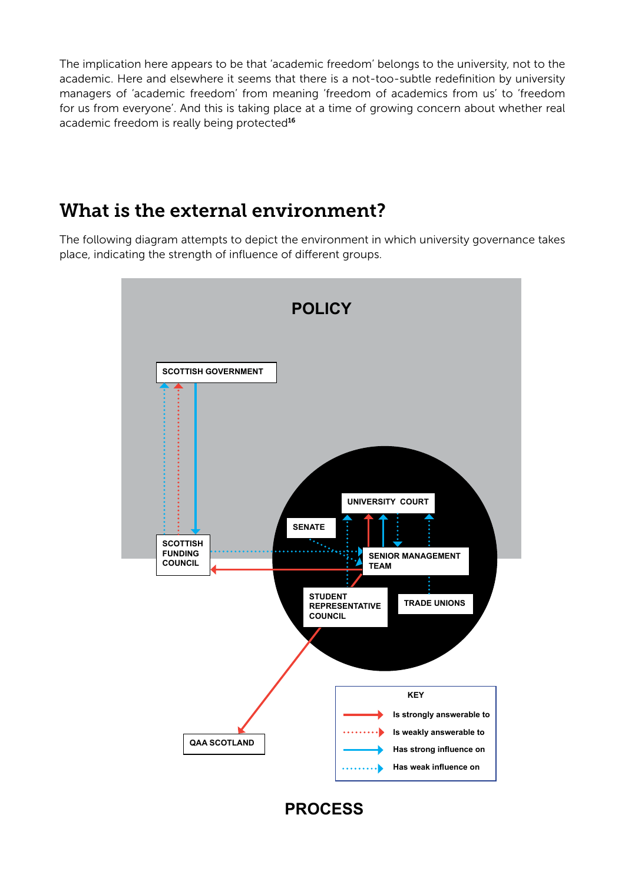The implication here appears to be that 'academic freedom' belongs to the university, not to the academic. Here and elsewhere it seems that there is a not-too-subtle redefinition by university managers of 'academic freedom' from meaning 'freedom of academics from us' to 'freedom for us from everyone'. And this is taking place at a time of growing concern about whether real academic freedom is really being protected<sup>16</sup>

#### What is the external environment?

The following diagram attempts to depict the environment in which university governance takes place, indicating the strength of influence of different groups.



#### **PROCESS**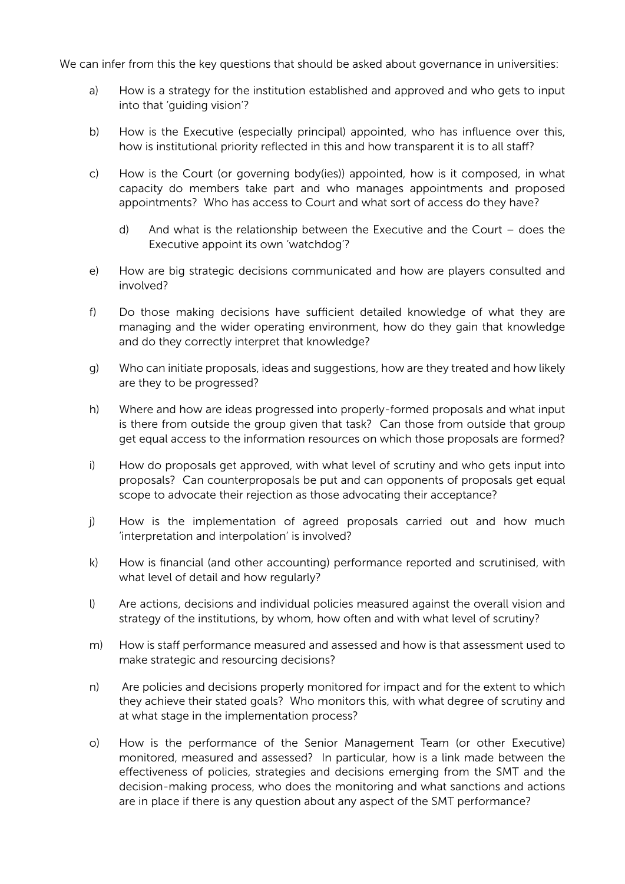We can infer from this the key questions that should be asked about governance in universities:

- a) How is a strategy for the institution established and approved and who gets to input into that 'guiding vision'?
- b) How is the Executive (especially principal) appointed, who has influence over this, how is institutional priority reflected in this and how transparent it is to all staff?
- c) How is the Court (or governing body(ies)) appointed, how is it composed, in what capacity do members take part and who manages appointments and proposed appointments? Who has access to Court and what sort of access do they have?
	- d) And what is the relationship between the Executive and the Court does the Executive appoint its own 'watchdog'?
- e) How are big strategic decisions communicated and how are players consulted and involved?
- f) Do those making decisions have sufficient detailed knowledge of what they are managing and the wider operating environment, how do they gain that knowledge and do they correctly interpret that knowledge?
- g) Who can initiate proposals, ideas and suggestions, how are they treated and how likely are they to be progressed?
- h) Where and how are ideas progressed into properly-formed proposals and what input is there from outside the group given that task? Can those from outside that group get equal access to the information resources on which those proposals are formed?
- i) How do proposals get approved, with what level of scrutiny and who gets input into proposals? Can counterproposals be put and can opponents of proposals get equal scope to advocate their rejection as those advocating their acceptance?
- j) How is the implementation of agreed proposals carried out and how much 'interpretation and interpolation' is involved?
- k) How is financial (and other accounting) performance reported and scrutinised, with what level of detail and how regularly?
- l) Are actions, decisions and individual policies measured against the overall vision and strategy of the institutions, by whom, how often and with what level of scrutiny?
- m) How is staff performance measured and assessed and how is that assessment used to make strategic and resourcing decisions?
- n) Are policies and decisions properly monitored for impact and for the extent to which they achieve their stated goals? Who monitors this, with what degree of scrutiny and at what stage in the implementation process?
- o) How is the performance of the Senior Management Team (or other Executive) monitored, measured and assessed? In particular, how is a link made between the effectiveness of policies, strategies and decisions emerging from the SMT and the decision-making process, who does the monitoring and what sanctions and actions are in place if there is any question about any aspect of the SMT performance?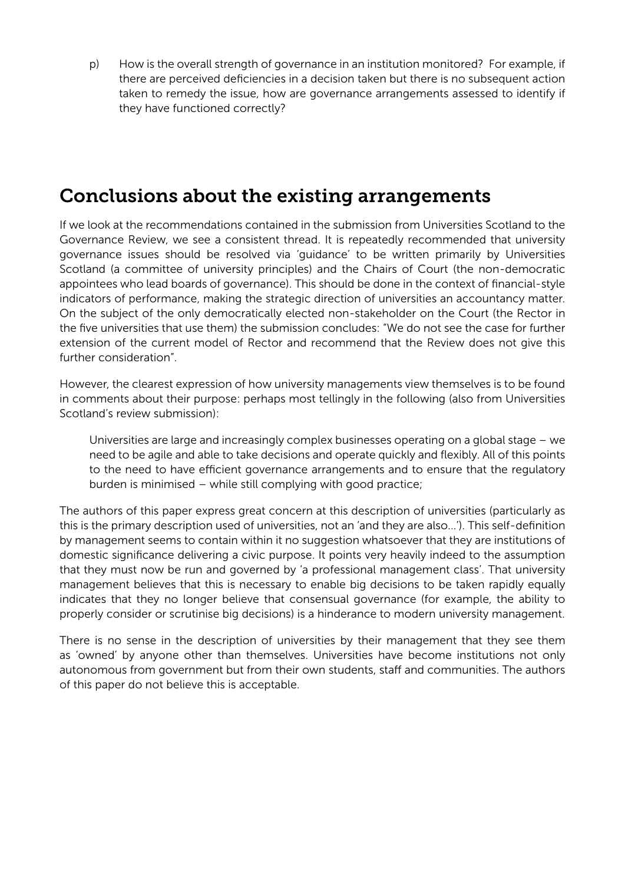p) How is the overall strength of governance in an institution monitored? For example, if there are perceived deficiencies in a decision taken but there is no subsequent action taken to remedy the issue, how are governance arrangements assessed to identify if they have functioned correctly?

#### Conclusions about the existing arrangements

If we look at the recommendations contained in the submission from Universities Scotland to the Governance Review, we see a consistent thread. It is repeatedly recommended that university governance issues should be resolved via 'guidance' to be written primarily by Universities Scotland (a committee of university principles) and the Chairs of Court (the non-democratic appointees who lead boards of governance). This should be done in the context of financial-style indicators of performance, making the strategic direction of universities an accountancy matter. On the subject of the only democratically elected non-stakeholder on the Court (the Rector in the five universities that use them) the submission concludes: "We do not see the case for further extension of the current model of Rector and recommend that the Review does not give this further consideration".

However, the clearest expression of how university managements view themselves is to be found in comments about their purpose: perhaps most tellingly in the following (also from Universities Scotland's review submission):

Universities are large and increasingly complex businesses operating on a global stage – we need to be agile and able to take decisions and operate quickly and flexibly. All of this points to the need to have efficient governance arrangements and to ensure that the regulatory burden is minimised – while still complying with good practice;

The authors of this paper express great concern at this description of universities (particularly as this is the primary description used of universities, not an 'and they are also...'). This self-definition by management seems to contain within it no suggestion whatsoever that they are institutions of domestic significance delivering a civic purpose. It points very heavily indeed to the assumption that they must now be run and governed by 'a professional management class'. That university management believes that this is necessary to enable big decisions to be taken rapidly equally indicates that they no longer believe that consensual governance (for example, the ability to properly consider or scrutinise big decisions) is a hinderance to modern university management.

There is no sense in the description of universities by their management that they see them as 'owned' by anyone other than themselves. Universities have become institutions not only autonomous from government but from their own students, staff and communities. The authors of this paper do not believe this is acceptable.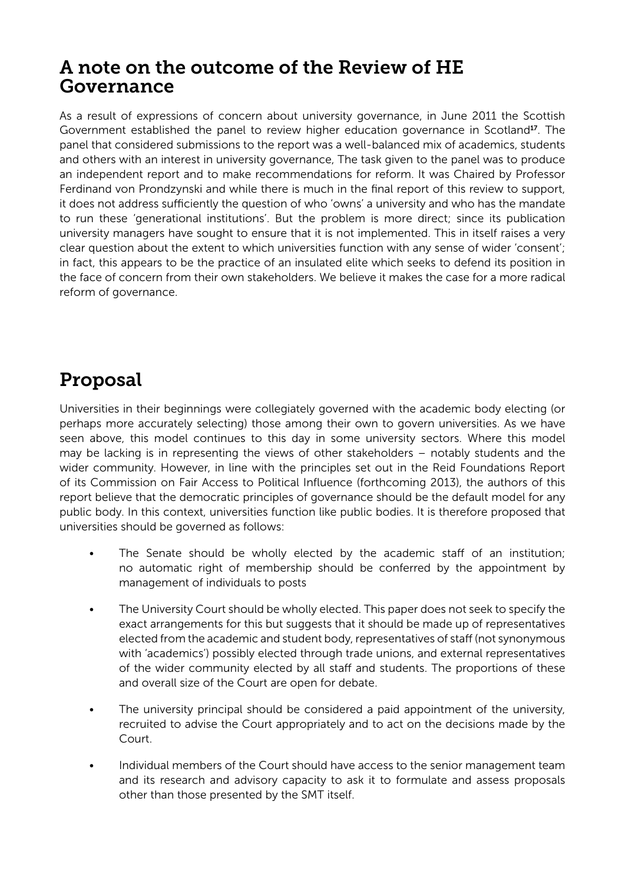#### A note on the outcome of the Review of HE Governance

As a result of expressions of concern about university governance, in June 2011 the Scottish Government established the panel to review higher education governance in Scotland17. The panel that considered submissions to the report was a well-balanced mix of academics, students and others with an interest in university governance, The task given to the panel was to produce an independent report and to make recommendations for reform. It was Chaired by Professor Ferdinand von Prondzynski and while there is much in the final report of this review to support, it does not address sufficiently the question of who 'owns' a university and who has the mandate to run these 'generational institutions'. But the problem is more direct; since its publication university managers have sought to ensure that it is not implemented. This in itself raises a very clear question about the extent to which universities function with any sense of wider 'consent'; in fact, this appears to be the practice of an insulated elite which seeks to defend its position in the face of concern from their own stakeholders. We believe it makes the case for a more radical reform of governance.

# Proposal

Universities in their beginnings were collegiately governed with the academic body electing (or perhaps more accurately selecting) those among their own to govern universities. As we have seen above, this model continues to this day in some university sectors. Where this model may be lacking is in representing the views of other stakeholders – notably students and the wider community. However, in line with the principles set out in the Reid Foundations Report of its Commission on Fair Access to Political Influence (forthcoming 2013), the authors of this report believe that the democratic principles of governance should be the default model for any public body. In this context, universities function like public bodies. It is therefore proposed that universities should be governed as follows:

- The Senate should be wholly elected by the academic staff of an institution; no automatic right of membership should be conferred by the appointment by management of individuals to posts
- The University Court should be wholly elected. This paper does not seek to specify the exact arrangements for this but suggests that it should be made up of representatives elected from the academic and student body, representatives of staff (not synonymous with 'academics') possibly elected through trade unions, and external representatives of the wider community elected by all staff and students. The proportions of these and overall size of the Court are open for debate.
- The university principal should be considered a paid appointment of the university, recruited to advise the Court appropriately and to act on the decisions made by the Court.
- Individual members of the Court should have access to the senior management team and its research and advisory capacity to ask it to formulate and assess proposals other than those presented by the SMT itself.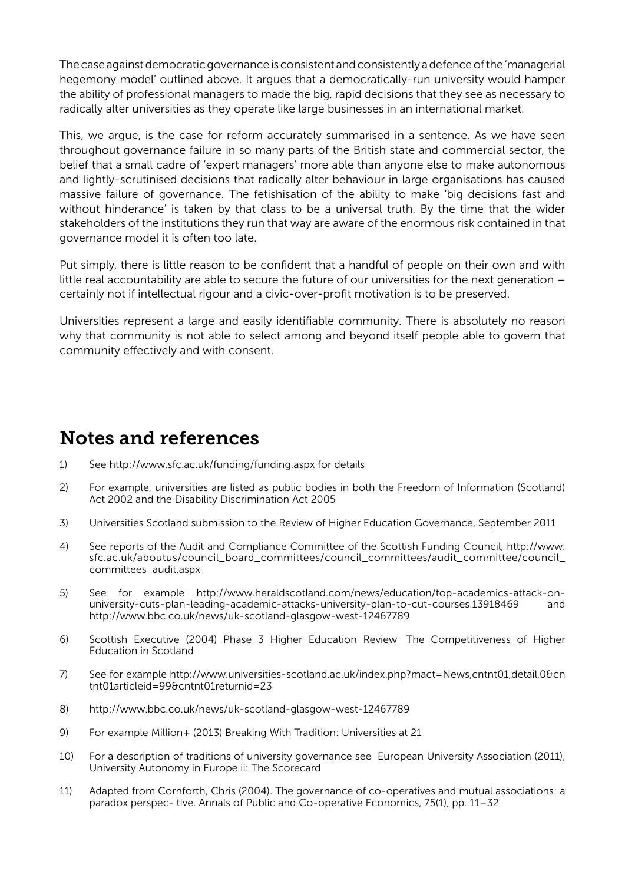The case against democratic governance is consistent and consistently a defence of the 'managerial hegemony model' outlined above. It argues that a democratically-run university would hamper the ability of professional managers to made the big, rapid decisions that they see as necessary to radically alter universities as they operate like large businesses in an international market.

This, we argue, is the case for reform accurately summarised in a sentence. As we have seen throughout governance failure in so many parts of the British state and commercial sector, the belief that a small cadre of 'expert managers' more able than anyone else to make autonomous and lightly-scrutinised decisions that radically alter behaviour in large organisations has caused massive failure of governance. The fetishisation of the ability to make 'big decisions fast and without hinderance' is taken by that class to be a universal truth. By the time that the wider stakeholders of the institutions they run that way are aware of the enormous risk contained in that governance model it is often too late.

Put simply, there is little reason to be confident that a handful of people on their own and with little real accountability are able to secure the future of our universities for the next generation – certainly not if intellectual rigour and a civic-over-profit motivation is to be preserved.

Universities represent a large and easily identifiable community. There is absolutely no reason why that community is not able to select among and beyond itself people able to govern that community effectively and with consent.

#### Notes and references

- 1) See http://www.sfc.ac.uk/funding/funding.aspx for details
- 2) For example, universities are listed as public bodies in both the Freedom of Information (Scotland) Act 2002 and the Disability Discrimination Act 2005
- 3) Universities Scotland submission to the Review of Higher Education Governance, September 2011
- 4) See reports of the Audit and Compliance Committee of the Scottish Funding Council, http://www. sfc.ac.uk/aboutus/council\_board\_committees/council\_committees/audit\_committee/council\_ committees\_audit.aspx
- 5) See for example http://www.heraldscotland.com/news/education/top-academics-attack-onuniversity-cuts-plan-leading-academic-attacks-university-plan-to-cut-courses.13918469 and http://www.bbc.co.uk/news/uk-scotland-glasgow-west-12467789
- 6) Scottish Executive (2004) Phase 3 Higher Education Review The Competitiveness of Higher Education in Scotland
- 7) See for example http://www.universities-scotland.ac.uk/index.php?mact=News,cntnt01,detail,0&cn tnt01articleid=99&cntnt01returnid=23
- 8) http://www.bbc.co.uk/news/uk-scotland-glasgow-west-12467789
- 9) For example Million+ (2013) Breaking With Tradition: Universities at 21
- 10) For a description of traditions of university governance see European University Association (2011), University Autonomy in Europe ii: The Scorecard
- 11) Adapted from Cornforth, Chris (2004). The governance of co-operatives and mutual associations: a paradox perspec- tive. Annals of Public and Co-operative Economics, 75(1), pp. 11–32